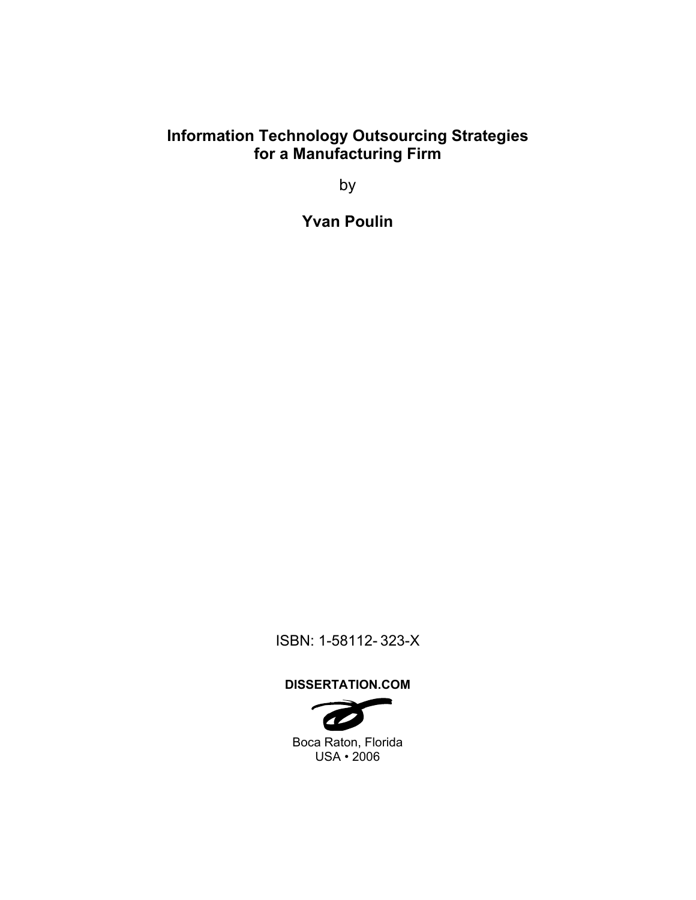# **Information Technology Outsourcing Strategies for a Manufacturing Firm**

by

**Yvan Poulin** 

ISBN: 1-58112- 323-X

# **DISSERTATION.COM**

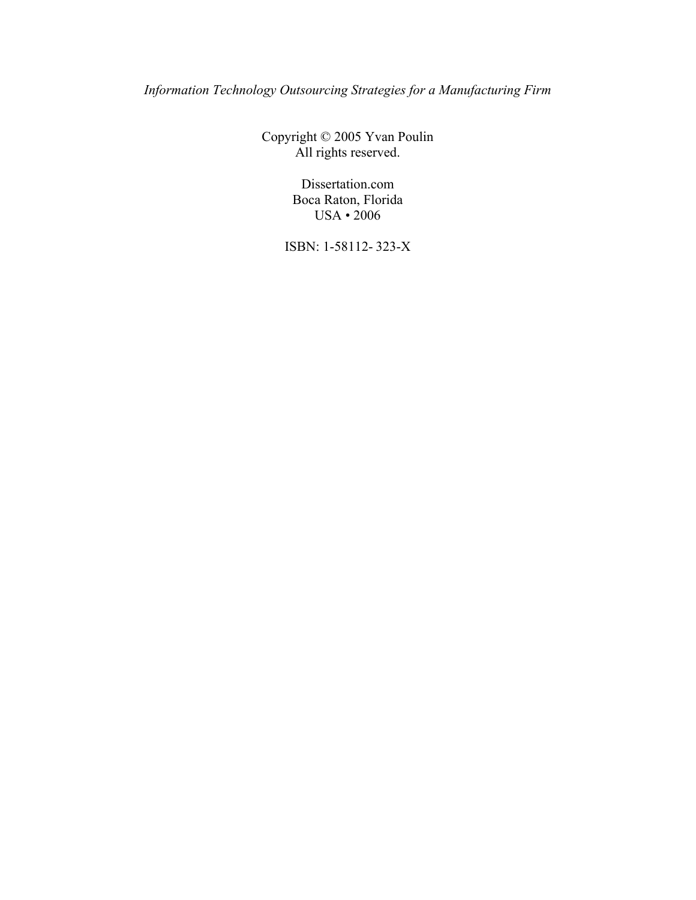*Information Technology Outsourcing Strategies for a Manufacturing Firm* 

Copyright © 2005 Yvan Poulin All rights reserved.

> Dissertation.com Boca Raton, Florida USA • 2006

ISBN: 1-58112- 323-X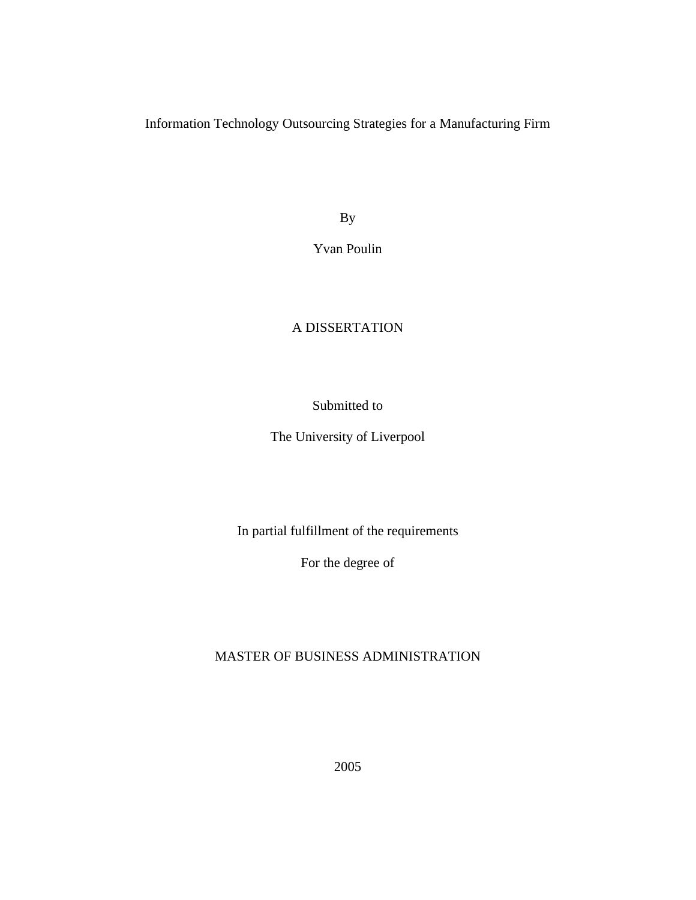Information Technology Outsourcing Strategies for a Manufacturing Firm

By

Yvan Poulin

# A DISSERTATION

## Submitted to

The University of Liverpool

In partial fulfillment of the requirements

For the degree of

MASTER OF BUSINESS ADMINISTRATION

2005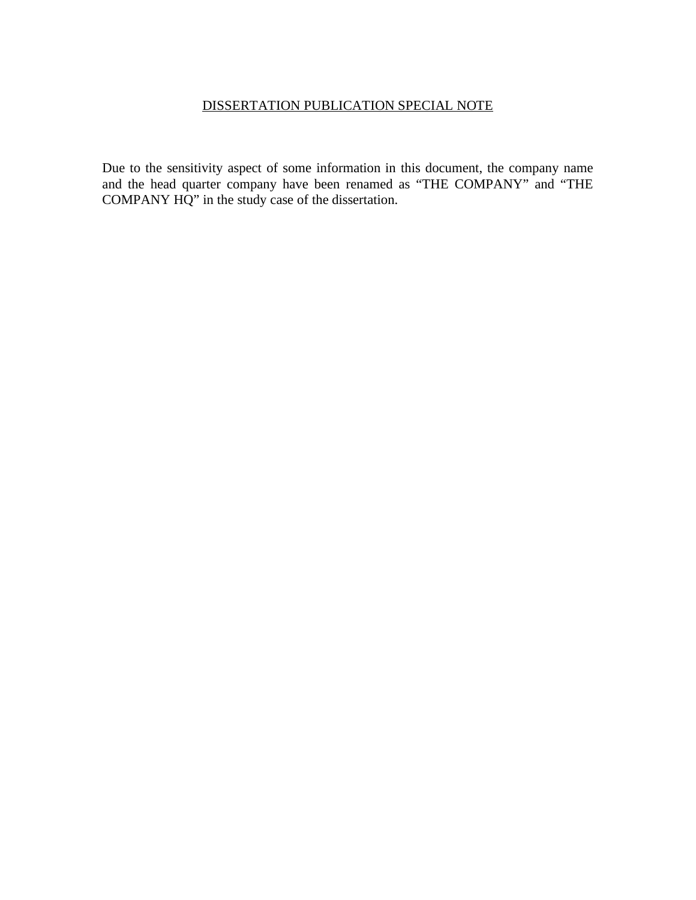# DISSERTATION PUBLICATION SPECIAL NOTE

Due to the sensitivity aspect of some information in this document, the company name and the head quarter company have been renamed as "THE COMPANY" and "THE COMPANY HQ" in the study case of the dissertation.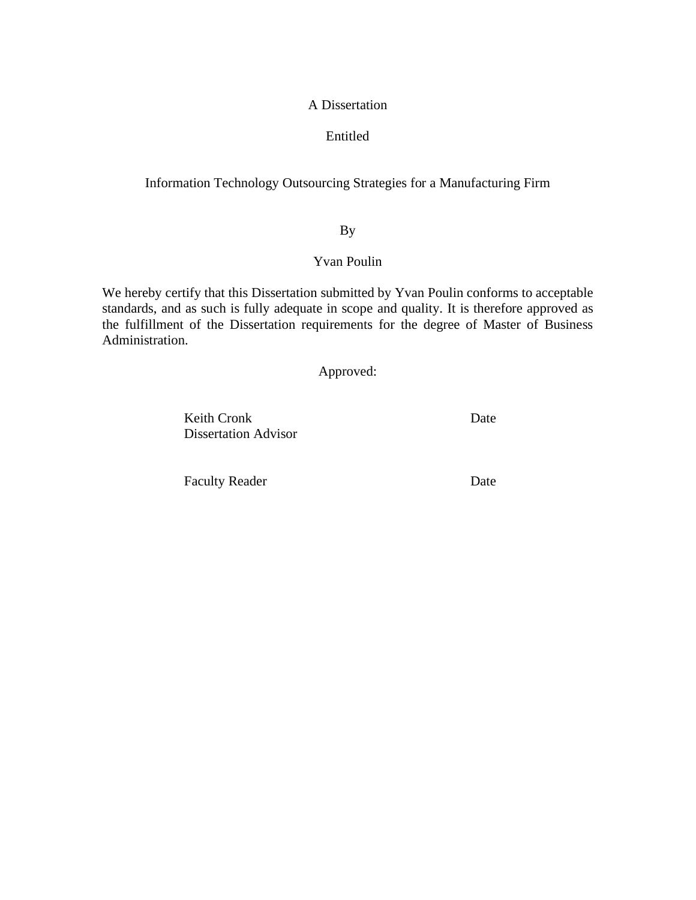### A Dissertation

## Entitled

# Information Technology Outsourcing Strategies for a Manufacturing Firm

# By

## Yvan Poulin

We hereby certify that this Dissertation submitted by Yvan Poulin conforms to acceptable standards, and as such is fully adequate in scope and quality. It is therefore approved as the fulfillment of the Dissertation requirements for the degree of Master of Business Administration.

Approved:

Keith Cronk Date Dissertation Advisor

Faculty Reader Date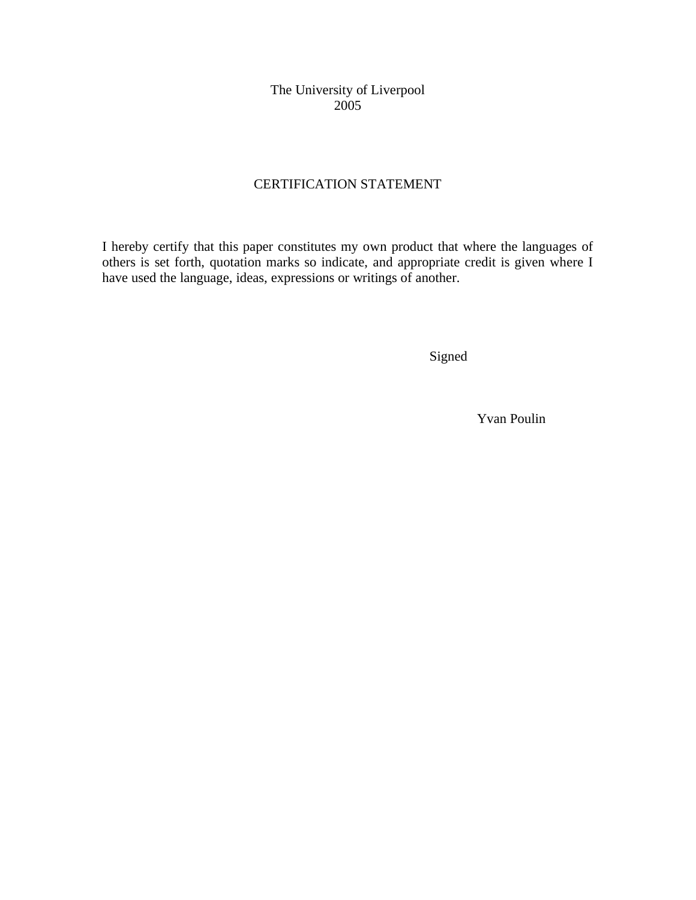The University of Liverpool 2005

# CERTIFICATION STATEMENT

I hereby certify that this paper constitutes my own product that where the languages of others is set forth, quotation marks so indicate, and appropriate credit is given where I have used the language, ideas, expressions or writings of another.

Signed

Yvan Poulin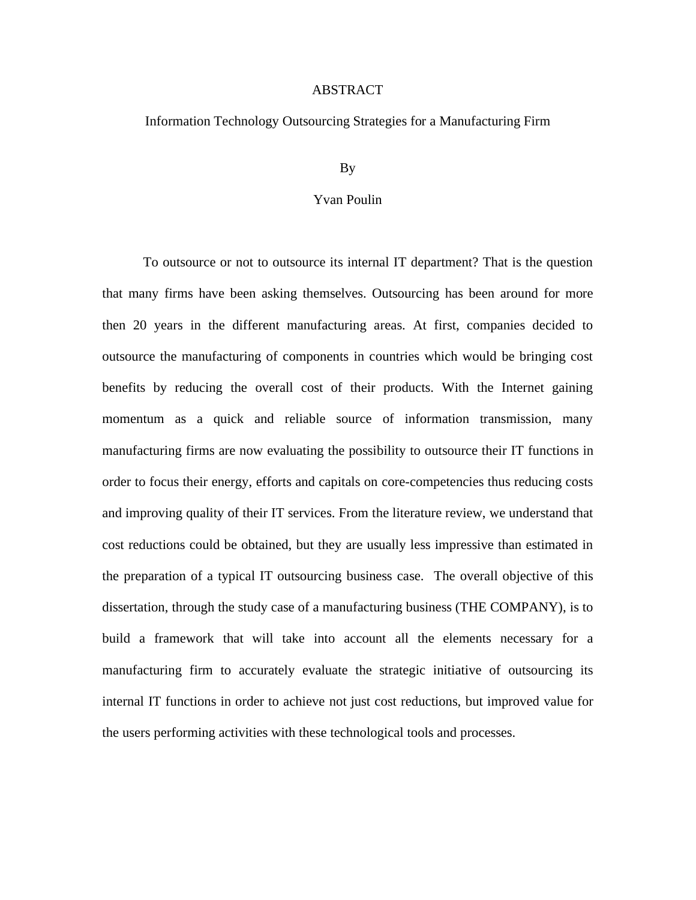#### ABSTRACT

### Information Technology Outsourcing Strategies for a Manufacturing Firm

### By

### Yvan Poulin

To outsource or not to outsource its internal IT department? That is the question that many firms have been asking themselves. Outsourcing has been around for more then 20 years in the different manufacturing areas. At first, companies decided to outsource the manufacturing of components in countries which would be bringing cost benefits by reducing the overall cost of their products. With the Internet gaining momentum as a quick and reliable source of information transmission, many manufacturing firms are now evaluating the possibility to outsource their IT functions in order to focus their energy, efforts and capitals on core-competencies thus reducing costs and improving quality of their IT services. From the literature review, we understand that cost reductions could be obtained, but they are usually less impressive than estimated in the preparation of a typical IT outsourcing business case. The overall objective of this dissertation, through the study case of a manufacturing business (THE COMPANY), is to build a framework that will take into account all the elements necessary for a manufacturing firm to accurately evaluate the strategic initiative of outsourcing its internal IT functions in order to achieve not just cost reductions, but improved value for the users performing activities with these technological tools and processes.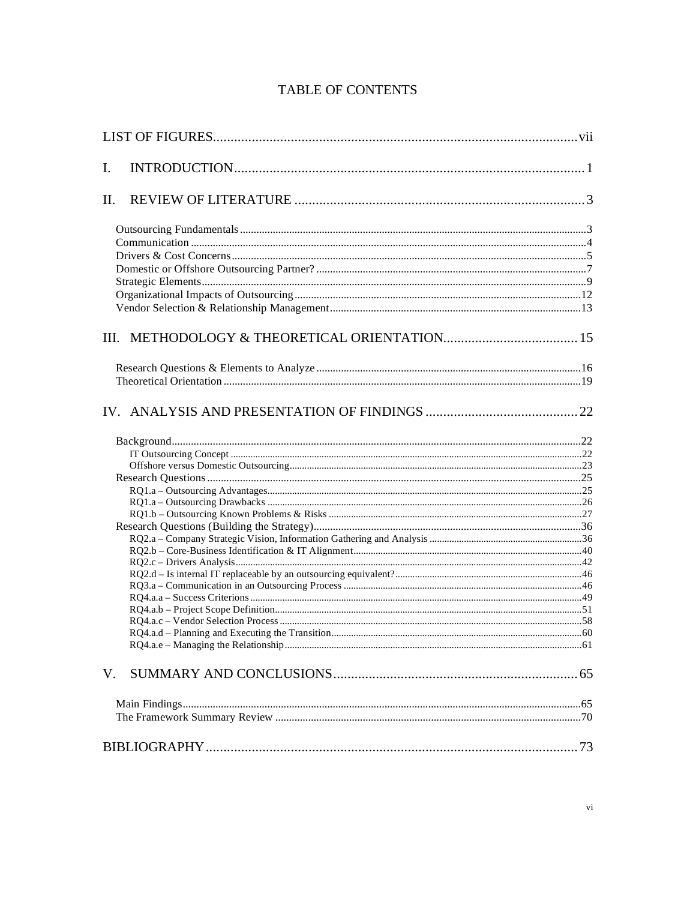| I.  |  |
|-----|--|
| II. |  |
|     |  |
|     |  |
|     |  |
|     |  |
|     |  |
|     |  |
|     |  |
|     |  |
|     |  |
|     |  |
|     |  |
|     |  |
|     |  |
|     |  |
|     |  |
|     |  |
|     |  |
|     |  |
|     |  |
|     |  |
|     |  |
|     |  |
|     |  |
|     |  |
|     |  |
|     |  |
|     |  |
|     |  |
| V.  |  |

# **TABLE OF CONTENTS**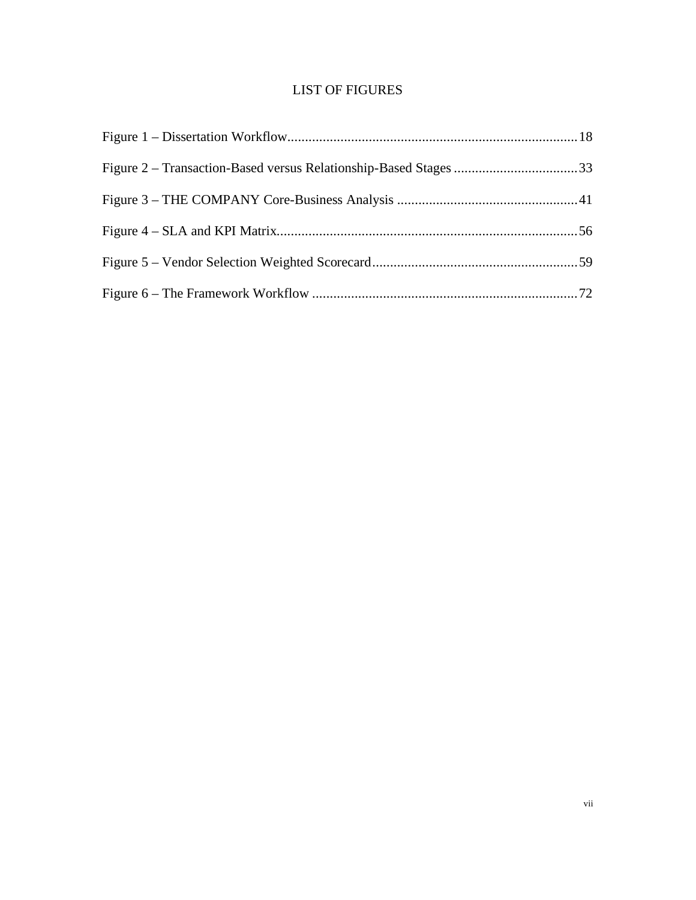# LIST OF FIGURES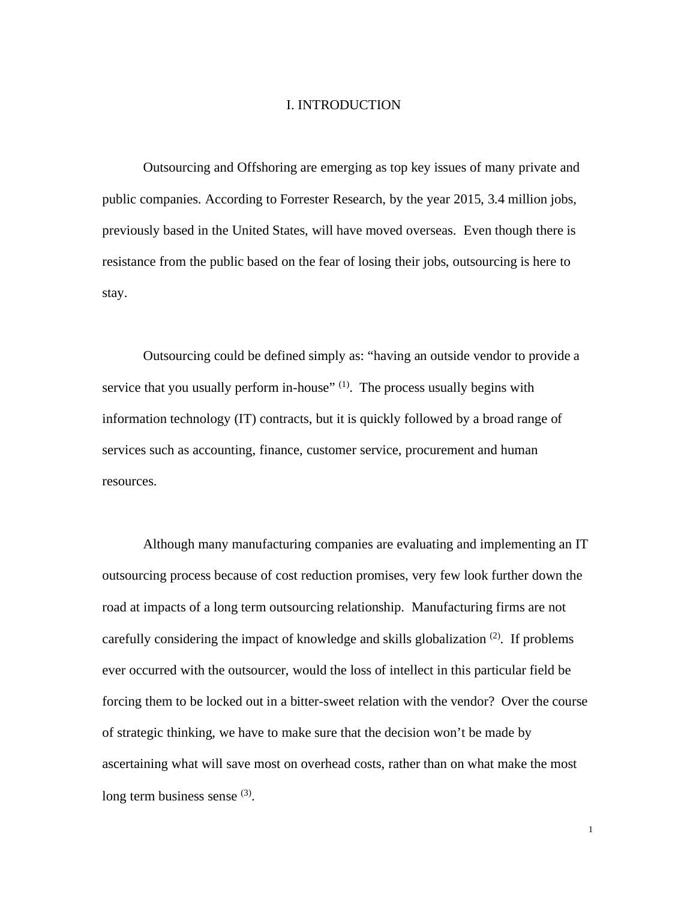### I. INTRODUCTION

Outsourcing and Offshoring are emerging as top key issues of many private and public companies. According to Forrester Research, by the year 2015, 3.4 million jobs, previously based in the United States, will have moved overseas. Even though there is resistance from the public based on the fear of losing their jobs, outsourcing is here to stay.

Outsourcing could be defined simply as: "having an outside vendor to provide a service that you usually perform in-house"  $(1)$ . The process usually begins with information technology (IT) contracts, but it is quickly followed by a broad range of services such as accounting, finance, customer service, procurement and human resources.

Although many manufacturing companies are evaluating and implementing an IT outsourcing process because of cost reduction promises, very few look further down the road at impacts of a long term outsourcing relationship. Manufacturing firms are not carefully considering the impact of knowledge and skills globalization  $(2)$ . If problems ever occurred with the outsourcer, would the loss of intellect in this particular field be forcing them to be locked out in a bitter-sweet relation with the vendor? Over the course of strategic thinking, we have to make sure that the decision won't be made by ascertaining what will save most on overhead costs, rather than on what make the most long term business sense (3).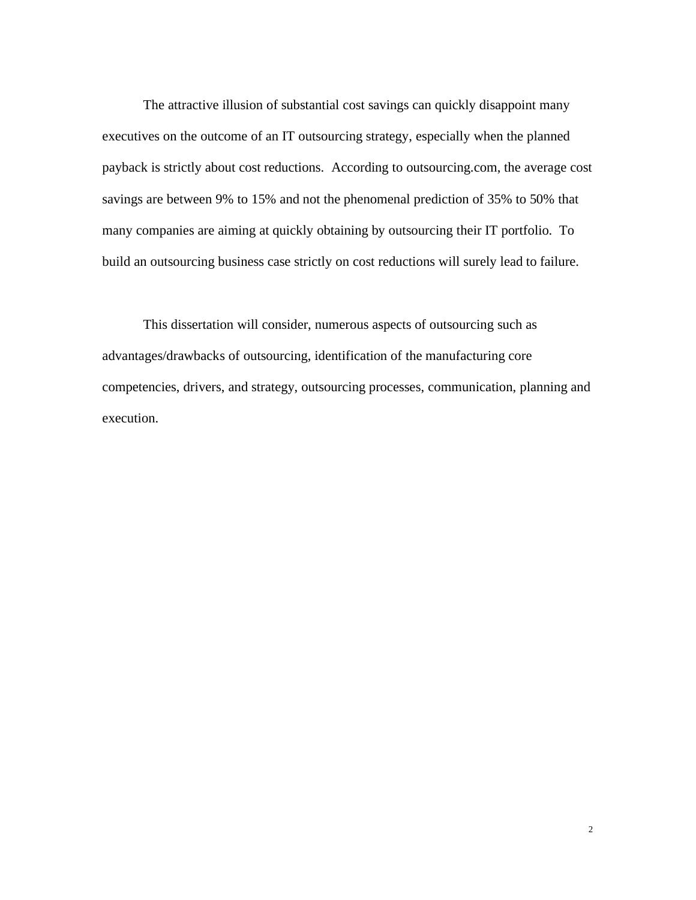The attractive illusion of substantial cost savings can quickly disappoint many executives on the outcome of an IT outsourcing strategy, especially when the planned payback is strictly about cost reductions. According to outsourcing.com, the average cost savings are between 9% to 15% and not the phenomenal prediction of 35% to 50% that many companies are aiming at quickly obtaining by outsourcing their IT portfolio. To build an outsourcing business case strictly on cost reductions will surely lead to failure.

This dissertation will consider, numerous aspects of outsourcing such as advantages/drawbacks of outsourcing, identification of the manufacturing core competencies, drivers, and strategy, outsourcing processes, communication, planning and execution.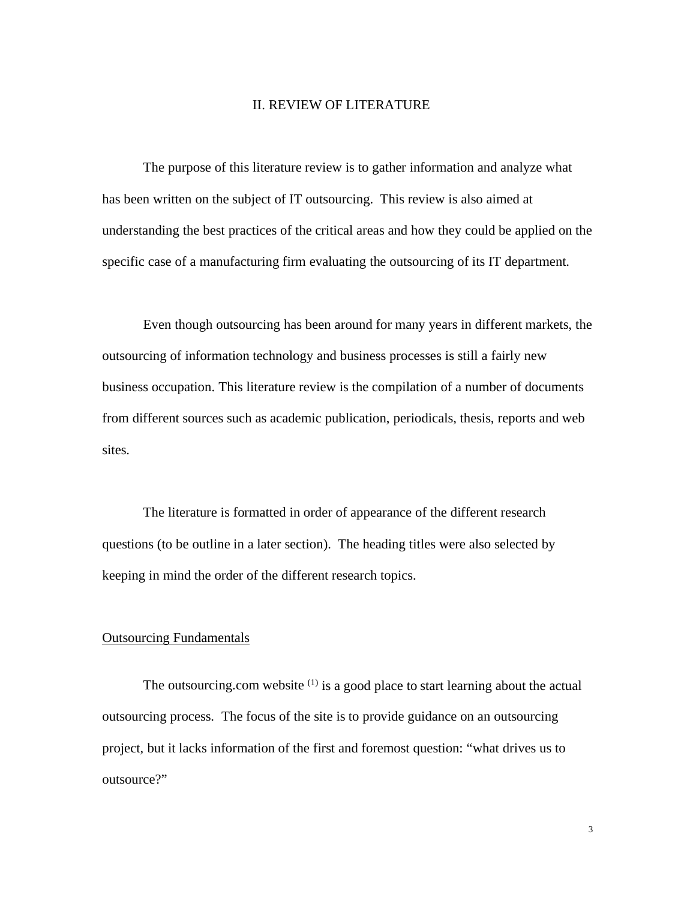#### II. REVIEW OF LITERATURE

The purpose of this literature review is to gather information and analyze what has been written on the subject of IT outsourcing. This review is also aimed at understanding the best practices of the critical areas and how they could be applied on the specific case of a manufacturing firm evaluating the outsourcing of its IT department.

Even though outsourcing has been around for many years in different markets, the outsourcing of information technology and business processes is still a fairly new business occupation. This literature review is the compilation of a number of documents from different sources such as academic publication, periodicals, thesis, reports and web sites.

The literature is formatted in order of appearance of the different research questions (to be outline in a later section). The heading titles were also selected by keeping in mind the order of the different research topics.

### Outsourcing Fundamentals

The outsourcing.com website  $(1)$  is a good place to start learning about the actual outsourcing process. The focus of the site is to provide guidance on an outsourcing project, but it lacks information of the first and foremost question: "what drives us to outsource?"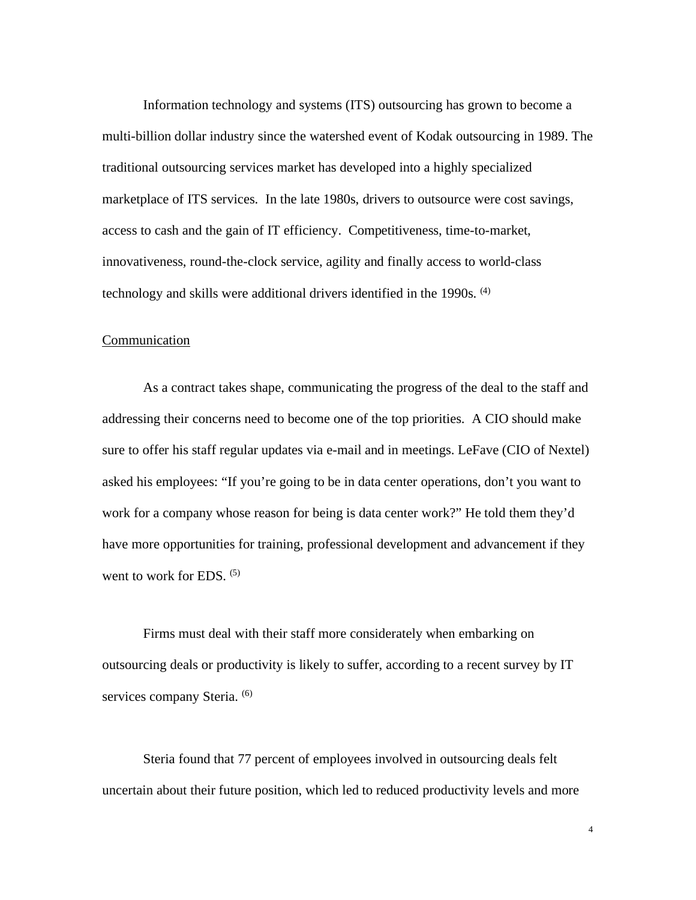Information technology and systems (ITS) outsourcing has grown to become a multi-billion dollar industry since the watershed event of Kodak outsourcing in 1989. The traditional outsourcing services market has developed into a highly specialized marketplace of ITS services. In the late 1980s, drivers to outsource were cost savings, access to cash and the gain of IT efficiency. Competitiveness, time-to-market, innovativeness, round-the-clock service, agility and finally access to world-class technology and skills were additional drivers identified in the 1990s. (4)

#### Communication

As a contract takes shape, communicating the progress of the deal to the staff and addressing their concerns need to become one of the top priorities. A CIO should make sure to offer his staff regular updates via e-mail and in meetings. LeFave (CIO of Nextel) asked his employees: "If you're going to be in data center operations, don't you want to work for a company whose reason for being is data center work?" He told them they'd have more opportunities for training, professional development and advancement if they went to work for EDS.  $(5)$ 

Firms must deal with their staff more considerately when embarking on outsourcing deals or productivity is likely to suffer, according to a recent survey by IT services company Steria. <sup>(6)</sup>

Steria found that 77 percent of employees involved in outsourcing deals felt uncertain about their future position, which led to reduced productivity levels and more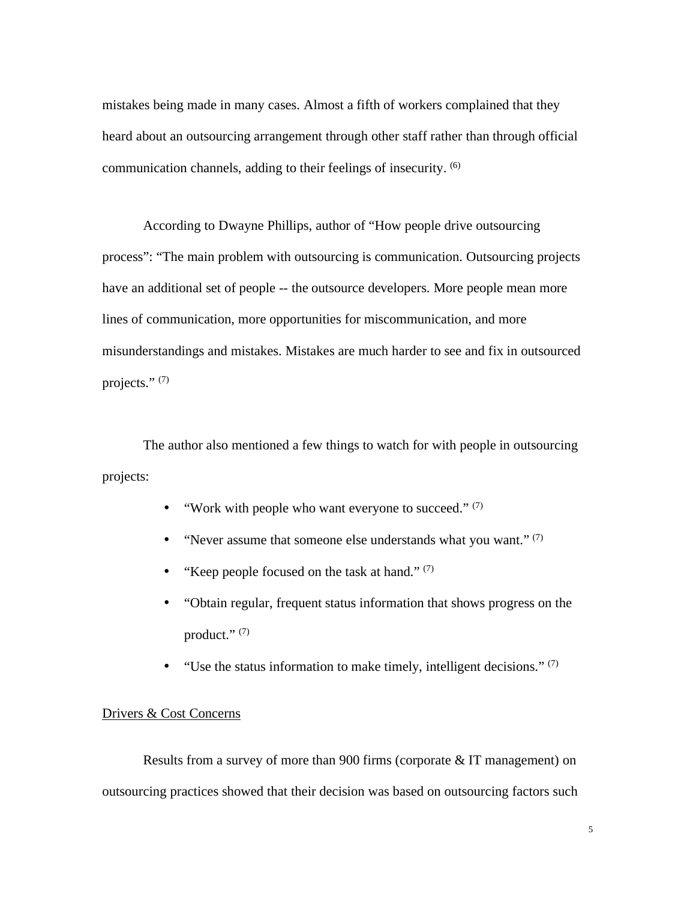mistakes being made in many cases. Almost a fifth of workers complained that they heard about an outsourcing arrangement through other staff rather than through official communication channels, adding to their feelings of insecurity. (6)

According to Dwayne Phillips, author of "How people drive outsourcing process": "The main problem with outsourcing is communication. Outsourcing projects have an additional set of people -- the outsource developers. More people mean more lines of communication, more opportunities for miscommunication, and more misunderstandings and mistakes. Mistakes are much harder to see and fix in outsourced projects." $(7)$ 

The author also mentioned a few things to watch for with people in outsourcing projects:

- "Work with people who want everyone to succeed."  $(7)$
- "Never assume that someone else understands what you want." $(7)$
- "Keep people focused on the task at hand."  $(7)$
- "Obtain regular, frequent status information that shows progress on the product." $(7)$
- "Use the status information to make timely, intelligent decisions."  $(7)$

## Drivers & Cost Concerns

Results from a survey of more than 900 firms (corporate & IT management) on outsourcing practices showed that their decision was based on outsourcing factors such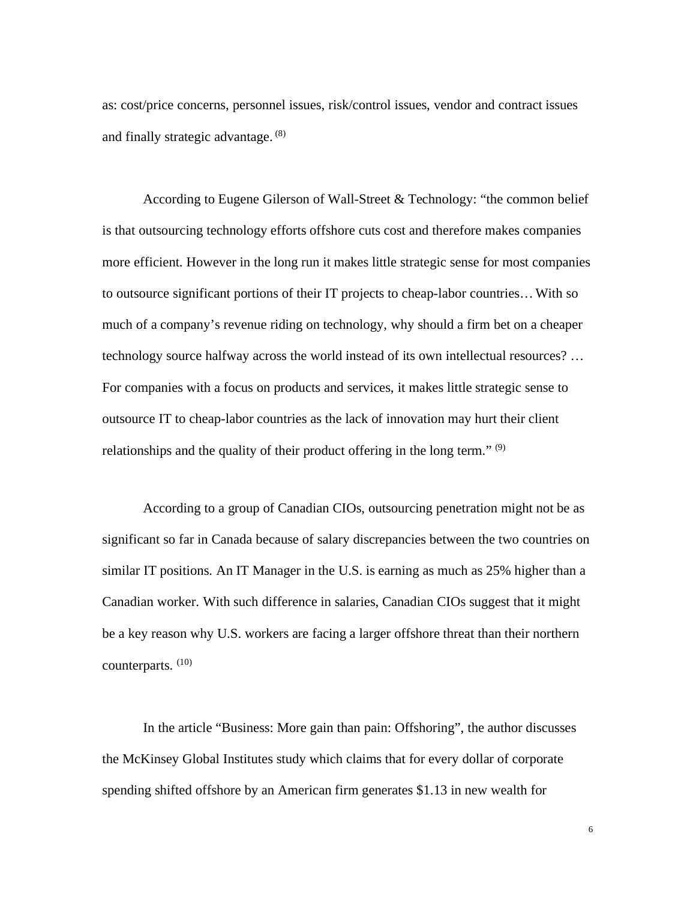as: cost/price concerns, personnel issues, risk/control issues, vendor and contract issues and finally strategic advantage. (8)

According to Eugene Gilerson of Wall-Street & Technology: "the common belief is that outsourcing technology efforts offshore cuts cost and therefore makes companies more efficient. However in the long run it makes little strategic sense for most companies to outsource significant portions of their IT projects to cheap-labor countries…With so much of a company's revenue riding on technology, why should a firm bet on a cheaper technology source halfway across the world instead of its own intellectual resources? … For companies with a focus on products and services, it makes little strategic sense to outsource IT to cheap-labor countries as the lack of innovation may hurt their client relationships and the quality of their product offering in the long term."  $(9)$ 

According to a group of Canadian CIOs, outsourcing penetration might not be as significant so far in Canada because of salary discrepancies between the two countries on similar IT positions. An IT Manager in the U.S. is earning as much as 25% higher than a Canadian worker. With such difference in salaries, Canadian CIOs suggest that it might be a key reason why U.S. workers are facing a larger offshore threat than their northern counterparts. (10)

In the article "Business: More gain than pain: Offshoring", the author discusses the McKinsey Global Institutes study which claims that for every dollar of corporate spending shifted offshore by an American firm generates \$1.13 in new wealth for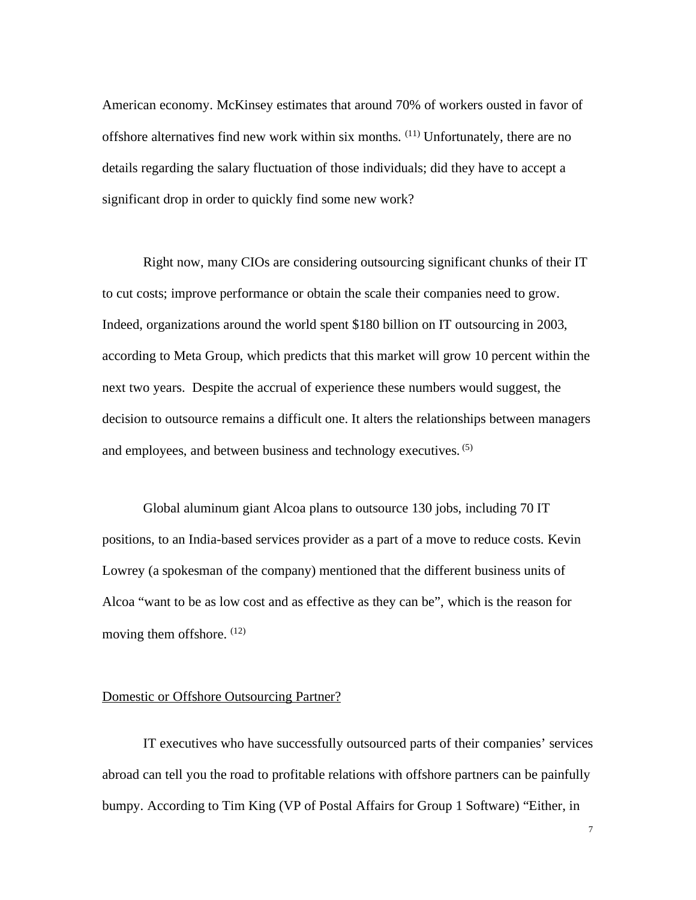American economy. McKinsey estimates that around 70% of workers ousted in favor of offshore alternatives find new work within six months. (11) Unfortunately, there are no details regarding the salary fluctuation of those individuals; did they have to accept a significant drop in order to quickly find some new work?

Right now, many CIOs are considering outsourcing significant chunks of their IT to cut costs; improve performance or obtain the scale their companies need to grow. Indeed, organizations around the world spent \$180 billion on IT outsourcing in 2003, according to Meta Group, which predicts that this market will grow 10 percent within the next two years. Despite the accrual of experience these numbers would suggest, the decision to outsource remains a difficult one. It alters the relationships between managers and employees, and between business and technology executives. (5)

Global aluminum giant Alcoa plans to outsource 130 jobs, including 70 IT positions, to an India-based services provider as a part of a move to reduce costs. Kevin Lowrey (a spokesman of the company) mentioned that the different business units of Alcoa "want to be as low cost and as effective as they can be", which is the reason for moving them offshore.  $(12)$ 

#### Domestic or Offshore Outsourcing Partner?

IT executives who have successfully outsourced parts of their companies' services abroad can tell you the road to profitable relations with offshore partners can be painfully bumpy. According to Tim King (VP of Postal Affairs for Group 1 Software) "Either, in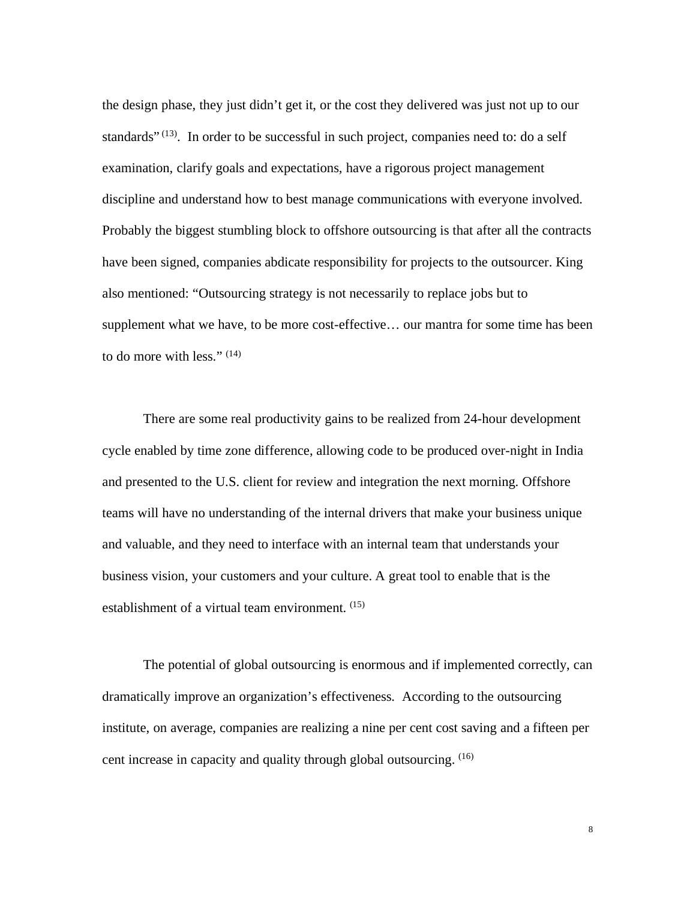the design phase, they just didn't get it, or the cost they delivered was just not up to our standards"  $(13)$ . In order to be successful in such project, companies need to: do a self examination, clarify goals and expectations, have a rigorous project management discipline and understand how to best manage communications with everyone involved. Probably the biggest stumbling block to offshore outsourcing is that after all the contracts have been signed, companies abdicate responsibility for projects to the outsourcer. King also mentioned: "Outsourcing strategy is not necessarily to replace jobs but to supplement what we have, to be more cost-effective… our mantra for some time has been to do more with less." (14)

There are some real productivity gains to be realized from 24-hour development cycle enabled by time zone difference, allowing code to be produced over-night in India and presented to the U.S. client for review and integration the next morning. Offshore teams will have no understanding of the internal drivers that make your business unique and valuable, and they need to interface with an internal team that understands your business vision, your customers and your culture. A great tool to enable that is the establishment of a virtual team environment. (15)

The potential of global outsourcing is enormous and if implemented correctly, can dramatically improve an organization's effectiveness. According to the outsourcing institute, on average, companies are realizing a nine per cent cost saving and a fifteen per cent increase in capacity and quality through global outsourcing. (16)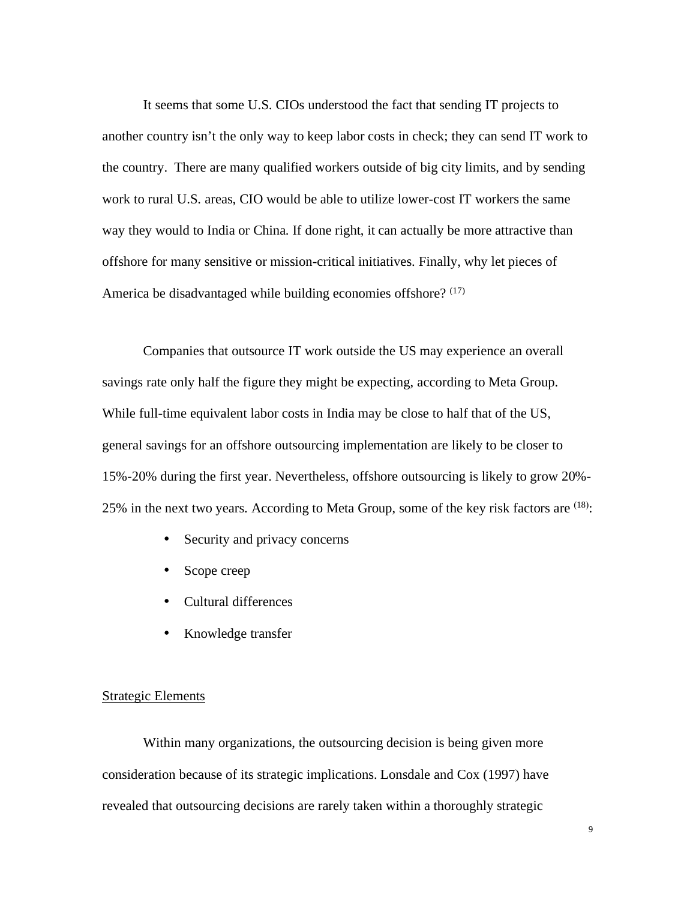It seems that some U.S. CIOs understood the fact that sending IT projects to another country isn't the only way to keep labor costs in check; they can send IT work to the country. There are many qualified workers outside of big city limits, and by sending work to rural U.S. areas, CIO would be able to utilize lower-cost IT workers the same way they would to India or China. If done right, it can actually be more attractive than offshore for many sensitive or mission-critical initiatives. Finally, why let pieces of America be disadvantaged while building economies offshore? (17)

Companies that outsource IT work outside the US may experience an overall savings rate only half the figure they might be expecting, according to Meta Group. While full-time equivalent labor costs in India may be close to half that of the US, general savings for an offshore outsourcing implementation are likely to be closer to 15%-20% during the first year. Nevertheless, offshore outsourcing is likely to grow 20%- 25% in the next two years. According to Meta Group, some of the key risk factors are  $(18)$ :

- Security and privacy concerns
- Scope creep
- Cultural differences
- Knowledge transfer

### Strategic Elements

Within many organizations, the outsourcing decision is being given more consideration because of its strategic implications. Lonsdale and Cox (1997) have revealed that outsourcing decisions are rarely taken within a thoroughly strategic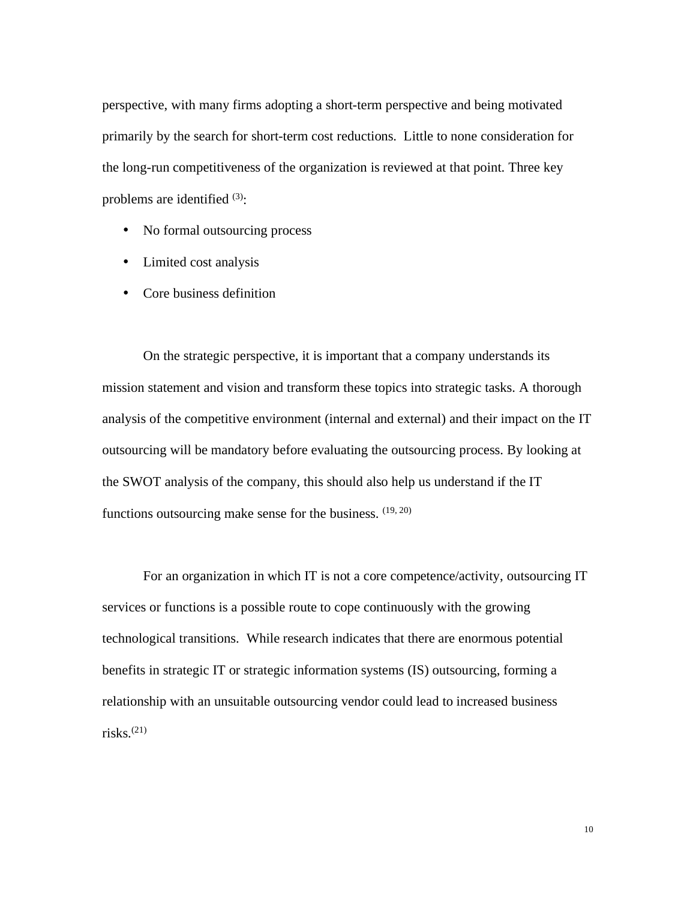perspective, with many firms adopting a short-term perspective and being motivated primarily by the search for short-term cost reductions. Little to none consideration for the long-run competitiveness of the organization is reviewed at that point. Three key problems are identified  $(3)$ :

- No formal outsourcing process
- Limited cost analysis
- Core business definition

On the strategic perspective, it is important that a company understands its mission statement and vision and transform these topics into strategic tasks. A thorough analysis of the competitive environment (internal and external) and their impact on the IT outsourcing will be mandatory before evaluating the outsourcing process. By looking at the SWOT analysis of the company, this should also help us understand if the IT functions outsourcing make sense for the business.  $(19, 20)$ 

For an organization in which IT is not a core competence/activity, outsourcing IT services or functions is a possible route to cope continuously with the growing technological transitions. While research indicates that there are enormous potential benefits in strategic IT or strategic information systems (IS) outsourcing, forming a relationship with an unsuitable outsourcing vendor could lead to increased business risks. $(21)$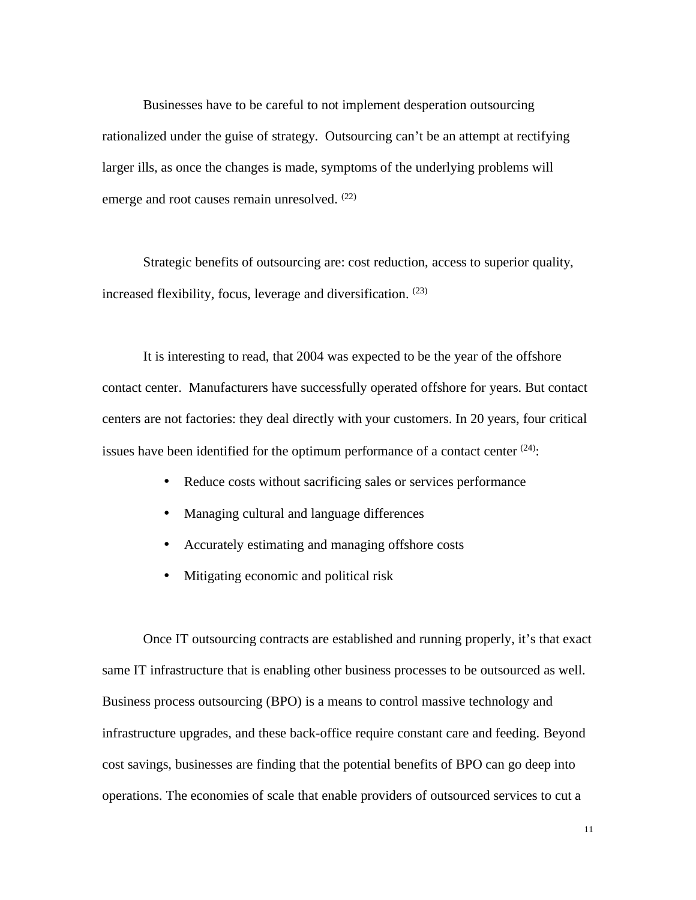Businesses have to be careful to not implement desperation outsourcing rationalized under the guise of strategy. Outsourcing can't be an attempt at rectifying larger ills, as once the changes is made, symptoms of the underlying problems will emerge and root causes remain unresolved.  $(22)$ 

Strategic benefits of outsourcing are: cost reduction, access to superior quality, increased flexibility, focus, leverage and diversification. (23)

It is interesting to read, that 2004 was expected to be the year of the offshore contact center. Manufacturers have successfully operated offshore for years. But contact centers are not factories: they deal directly with your customers. In 20 years, four critical issues have been identified for the optimum performance of a contact center  $(24)$ :

- Reduce costs without sacrificing sales or services performance
- Managing cultural and language differences
- Accurately estimating and managing offshore costs
- Mitigating economic and political risk

Once IT outsourcing contracts are established and running properly, it's that exact same IT infrastructure that is enabling other business processes to be outsourced as well. Business process outsourcing (BPO) is a means to control massive technology and infrastructure upgrades, and these back-office require constant care and feeding. Beyond cost savings, businesses are finding that the potential benefits of BPO can go deep into operations. The economies of scale that enable providers of outsourced services to cut a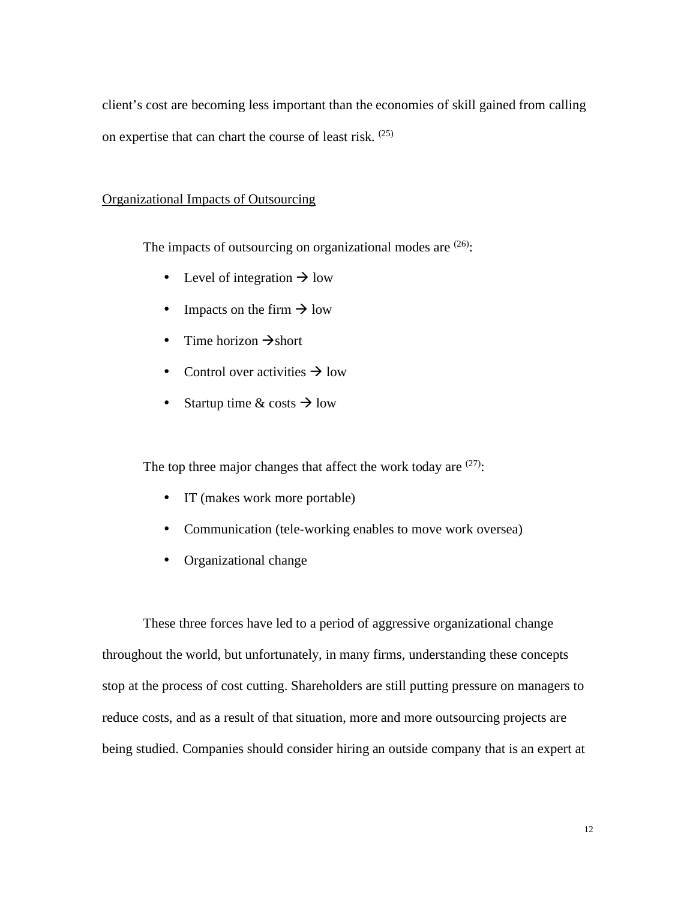client's cost are becoming less important than the economies of skill gained from calling on expertise that can chart the course of least risk. (25)

### Organizational Impacts of Outsourcing

The impacts of outsourcing on organizational modes are  $(26)$ :

- Level of integration  $\rightarrow$  low
- Impacts on the firm  $\rightarrow$  low
- Time horizon  $\rightarrow$  short
- Control over activities  $\rightarrow$  low
- Startup time & costs  $\rightarrow$  low

The top three major changes that affect the work today are  $(27)$ :

- IT (makes work more portable)
- Communication (tele-working enables to move work oversea)
- Organizational change

These three forces have led to a period of aggressive organizational change throughout the world, but unfortunately, in many firms, understanding these concepts stop at the process of cost cutting. Shareholders are still putting pressure on managers to reduce costs, and as a result of that situation, more and more outsourcing projects are being studied. Companies should consider hiring an outside company that is an expert at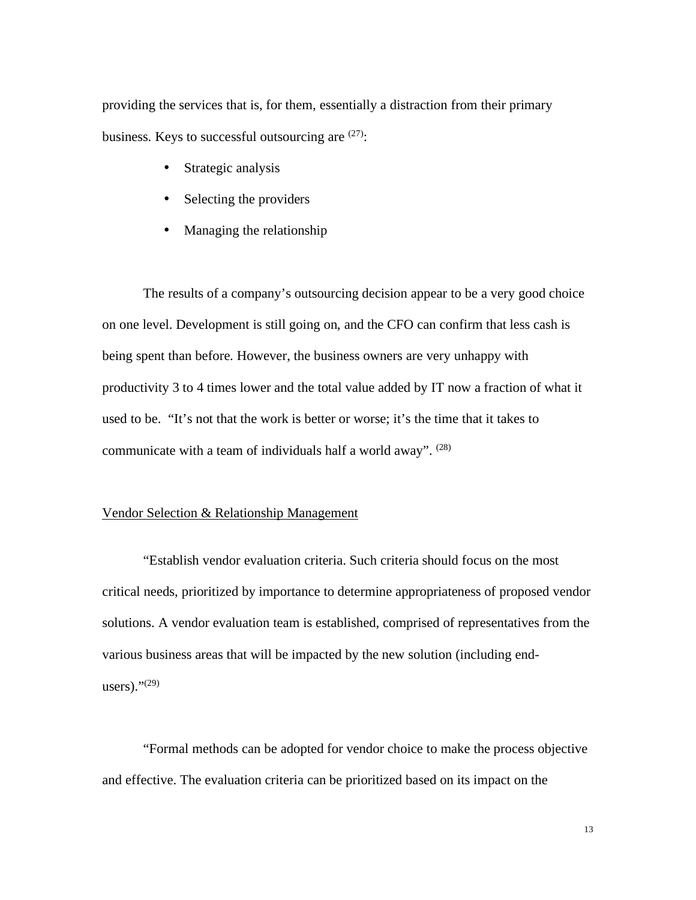providing the services that is, for them, essentially a distraction from their primary business. Keys to successful outsourcing are  $(27)$ :

- Strategic analysis
- Selecting the providers
- Managing the relationship

The results of a company's outsourcing decision appear to be a very good choice on one level. Development is still going on, and the CFO can confirm that less cash is being spent than before. However, the business owners are very unhappy with productivity 3 to 4 times lower and the total value added by IT now a fraction of what it used to be. "It's not that the work is better or worse; it's the time that it takes to communicate with a team of individuals half a world away".  $(28)$ 

#### Vendor Selection & Relationship Management

 "Establish vendor evaluation criteria. Such criteria should focus on the most critical needs, prioritized by importance to determine appropriateness of proposed vendor solutions. A vendor evaluation team is established, comprised of representatives from the various business areas that will be impacted by the new solution (including endusers)." $(29)$ 

 "Formal methods can be adopted for vendor choice to make the process objective and effective. The evaluation criteria can be prioritized based on its impact on the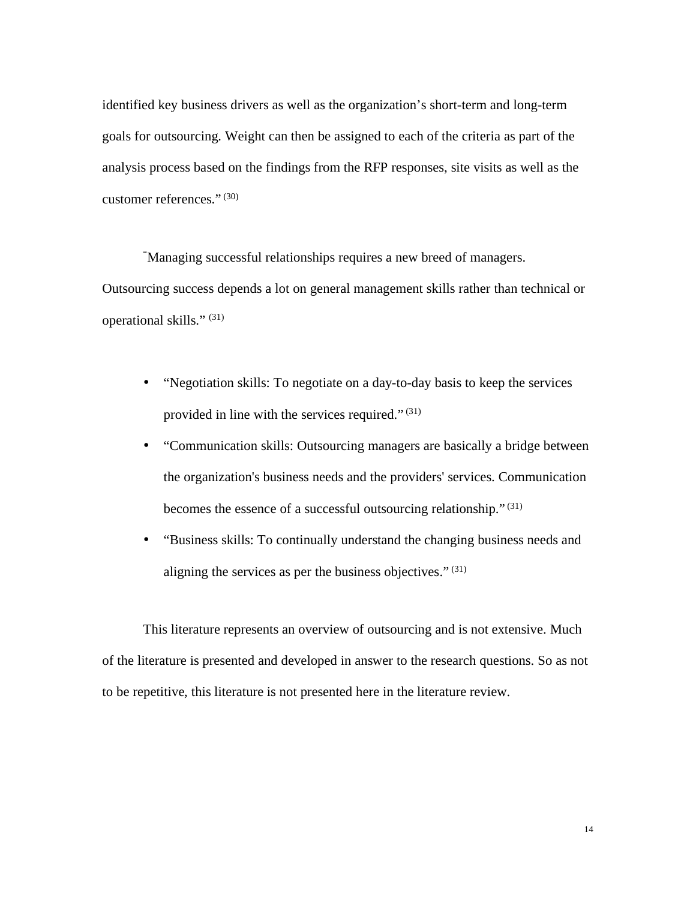identified key business drivers as well as the organization's short-term and long-term goals for outsourcing. Weight can then be assigned to each of the criteria as part of the analysis process based on the findings from the RFP responses, site visits as well as the customer references."  $(30)$ 

 "Managing successful relationships requires a new breed of managers. Outsourcing success depends a lot on general management skills rather than technical or operational skills." (31)

- "Negotiation skills: To negotiate on a day-to-day basis to keep the services provided in line with the services required." $(31)$
- "Communication skills: Outsourcing managers are basically a bridge between the organization's business needs and the providers' services. Communication becomes the essence of a successful outsourcing relationship." (31)
- "Business skills: To continually understand the changing business needs and aligning the services as per the business objectives." $(31)$

This literature represents an overview of outsourcing and is not extensive. Much of the literature is presented and developed in answer to the research questions. So as not to be repetitive, this literature is not presented here in the literature review.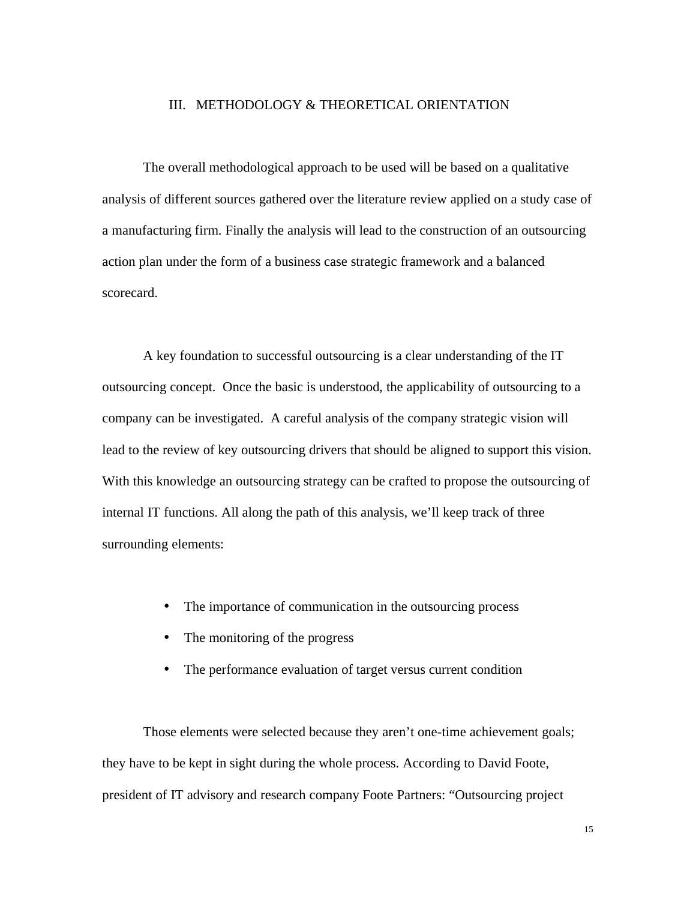#### III. METHODOLOGY & THEORETICAL ORIENTATION

The overall methodological approach to be used will be based on a qualitative analysis of different sources gathered over the literature review applied on a study case of a manufacturing firm. Finally the analysis will lead to the construction of an outsourcing action plan under the form of a business case strategic framework and a balanced scorecard.

A key foundation to successful outsourcing is a clear understanding of the IT outsourcing concept. Once the basic is understood, the applicability of outsourcing to a company can be investigated. A careful analysis of the company strategic vision will lead to the review of key outsourcing drivers that should be aligned to support this vision. With this knowledge an outsourcing strategy can be crafted to propose the outsourcing of internal IT functions. All along the path of this analysis, we'll keep track of three surrounding elements:

- The importance of communication in the outsourcing process
- The monitoring of the progress
- The performance evaluation of target versus current condition

Those elements were selected because they aren't one-time achievement goals; they have to be kept in sight during the whole process. According to David Foote, president of IT advisory and research company Foote Partners: "Outsourcing project